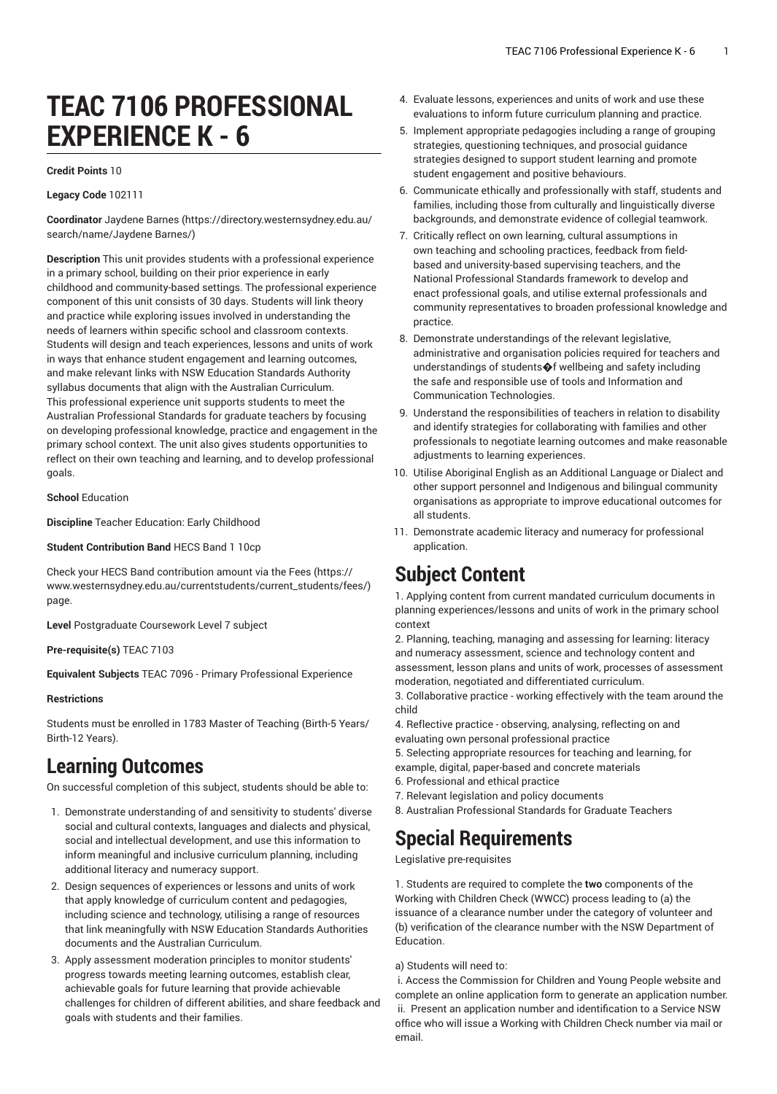# **TEAC 7106 PROFESSIONAL EXPERIENCE K - 6**

#### **Credit Points** 10

#### **Legacy Code** 102111

**Coordinator** [Jaydene](https://directory.westernsydney.edu.au/search/name/Jaydene Barnes/) Barnes ([https://directory.westernsydney.edu.au/](https://directory.westernsydney.edu.au/search/name/Jaydene Barnes/) [search/name/Jaydene](https://directory.westernsydney.edu.au/search/name/Jaydene Barnes/) Barnes/)

**Description** This unit provides students with a professional experience in a primary school, building on their prior experience in early childhood and community-based settings. The professional experience component of this unit consists of 30 days. Students will link theory and practice while exploring issues involved in understanding the needs of learners within specific school and classroom contexts. Students will design and teach experiences, lessons and units of work in ways that enhance student engagement and learning outcomes, and make relevant links with NSW Education Standards Authority syllabus documents that align with the Australian Curriculum. This professional experience unit supports students to meet the Australian Professional Standards for graduate teachers by focusing on developing professional knowledge, practice and engagement in the primary school context. The unit also gives students opportunities to reflect on their own teaching and learning, and to develop professional goals.

#### **School** Education

**Discipline** Teacher Education: Early Childhood

**Student Contribution Band** HECS Band 1 10cp

Check your HECS Band contribution amount via the [Fees \(https://](https://www.westernsydney.edu.au/currentstudents/current_students/fees/) [www.westernsydney.edu.au/currentstudents/current\\_students/fees/\)](https://www.westernsydney.edu.au/currentstudents/current_students/fees/) page.

**Level** Postgraduate Coursework Level 7 subject

**Pre-requisite(s)** [TEAC 7103](/search/?P=TEAC%207103)

**Equivalent Subjects** TEAC 7096 - Primary Professional Experience

#### **Restrictions**

Students must be enrolled in 1783 Master of Teaching (Birth-5 Years/ Birth-12 Years).

## **Learning Outcomes**

On successful completion of this subject, students should be able to:

- 1. Demonstrate understanding of and sensitivity to students' diverse social and cultural contexts, languages and dialects and physical, social and intellectual development, and use this information to inform meaningful and inclusive curriculum planning, including additional literacy and numeracy support.
- 2. Design sequences of experiences or lessons and units of work that apply knowledge of curriculum content and pedagogies, including science and technology, utilising a range of resources that link meaningfully with NSW Education Standards Authorities documents and the Australian Curriculum.
- 3. Apply assessment moderation principles to monitor students' progress towards meeting learning outcomes, establish clear, achievable goals for future learning that provide achievable challenges for children of different abilities, and share feedback and goals with students and their families.
- 4. Evaluate lessons, experiences and units of work and use these evaluations to inform future curriculum planning and practice.
- 5. Implement appropriate pedagogies including a range of grouping strategies, questioning techniques, and prosocial guidance strategies designed to support student learning and promote student engagement and positive behaviours.
- 6. Communicate ethically and professionally with staff, students and families, including those from culturally and linguistically diverse backgrounds, and demonstrate evidence of collegial teamwork.
- 7. Critically reflect on own learning, cultural assumptions in own teaching and schooling practices, feedback from fieldbased and university-based supervising teachers, and the National Professional Standards framework to develop and enact professional goals, and utilise external professionals and community representatives to broaden professional knowledge and practice.
- 8. Demonstrate understandings of the relevant legislative, administrative and organisation policies required for teachers and understandings of students $\bigcirc$ f wellbeing and safety including the safe and responsible use of tools and Information and Communication Technologies.
- 9. Understand the responsibilities of teachers in relation to disability and identify strategies for collaborating with families and other professionals to negotiate learning outcomes and make reasonable adjustments to learning experiences.
- 10. Utilise Aboriginal English as an Additional Language or Dialect and other support personnel and Indigenous and bilingual community organisations as appropriate to improve educational outcomes for all students.
- 11. Demonstrate academic literacy and numeracy for professional application.

## **Subject Content**

1. Applying content from current mandated curriculum documents in planning experiences/lessons and units of work in the primary school context

2. Planning, teaching, managing and assessing for learning: literacy and numeracy assessment, science and technology content and assessment, lesson plans and units of work, processes of assessment moderation, negotiated and differentiated curriculum.

3. Collaborative practice - working effectively with the team around the child

4. Reflective practice - observing, analysing, reflecting on and evaluating own personal professional practice

- 5. Selecting appropriate resources for teaching and learning, for
- example, digital, paper-based and concrete materials
- 6. Professional and ethical practice
- 7. Relevant legislation and policy documents
- 8. Australian Professional Standards for Graduate Teachers

## **Special Requirements**

Legislative pre-requisites

1. Students are required to complete the **two** components of the Working with Children Check (WWCC) process leading to (a) the issuance of a clearance number under the category of volunteer and (b) verification of the clearance number with the NSW Department of Education.

#### a) Students will need to:

i. Access the Commission for Children and Young People website and complete an online application form to generate an application number. ii. Present an application number and identification to a Service NSW office who will issue a Working with Children Check number via mail or email.